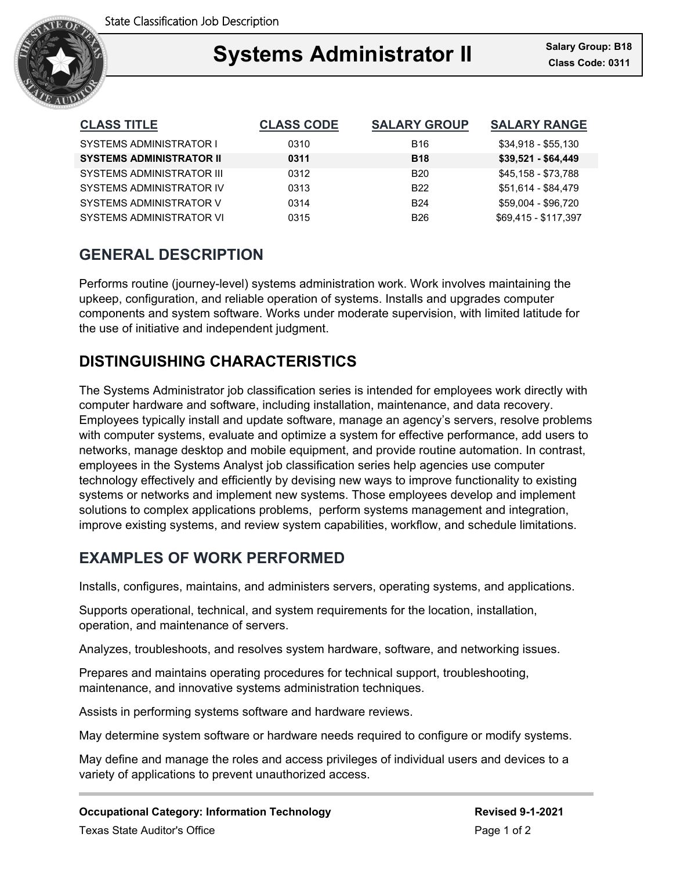

### Ξ **Systems Administrator II Class Code: 0311**

| <b>CLASS TITLE</b>               | <b>CLASS CODE</b> | <b>SALARY GROUP</b> | <b>SALARY RANGE</b>  |
|----------------------------------|-------------------|---------------------|----------------------|
| SYSTEMS ADMINISTRATOR I          | 0310              | <b>B16</b>          | $$34,918 - $55,130$  |
| <b>SYSTEMS ADMINISTRATOR II</b>  | 0311              | <b>B18</b>          | $$39,521 - $64,449$  |
| <b>SYSTEMS ADMINISTRATOR III</b> | 0312              | <b>B20</b>          | \$45,158 - \$73,788  |
| SYSTEMS ADMINISTRATOR IV         | 0313              | <b>B22</b>          | \$51.614 - \$84.479  |
| SYSTEMS ADMINISTRATOR V          | 0314              | <b>B24</b>          | \$59,004 - \$96,720  |
| SYSTEMS ADMINISTRATOR VI         | 0315              | <b>B26</b>          | \$69.415 - \$117.397 |

# **GENERAL DESCRIPTION**

Performs routine (journey-level) systems administration work. Work involves maintaining the upkeep, configuration, and reliable operation of systems. Installs and upgrades computer components and system software. Works under moderate supervision, with limited latitude for the use of initiative and independent judgment.

# **DISTINGUISHING CHARACTERISTICS**

The Systems Administrator job classification series is intended for employees work directly with computer hardware and software, including installation, maintenance, and data recovery. Employees typically install and update software, manage an agency's servers, resolve problems with computer systems, evaluate and optimize a system for effective performance, add users to networks, manage desktop and mobile equipment, and provide routine automation. In contrast, employees in the Systems Analyst job classification series help agencies use computer technology effectively and efficiently by devising new ways to improve functionality to existing systems or networks and implement new systems. Those employees develop and implement solutions to complex applications problems, perform systems management and integration, improve existing systems, and review system capabilities, workflow, and schedule limitations.

## **EXAMPLES OF WORK PERFORMED**

Installs, configures, maintains, and administers servers, operating systems, and applications.

Supports operational, technical, and system requirements for the location, installation, operation, and maintenance of servers.

Analyzes, troubleshoots, and resolves system hardware, software, and networking issues.

Prepares and maintains operating procedures for technical support, troubleshooting, maintenance, and innovative systems administration techniques.

Assists in performing systems software and hardware reviews.

May determine system software or hardware needs required to configure or modify systems.

May define and manage the roles and access privileges of individual users and devices to a variety of applications to prevent unauthorized access.